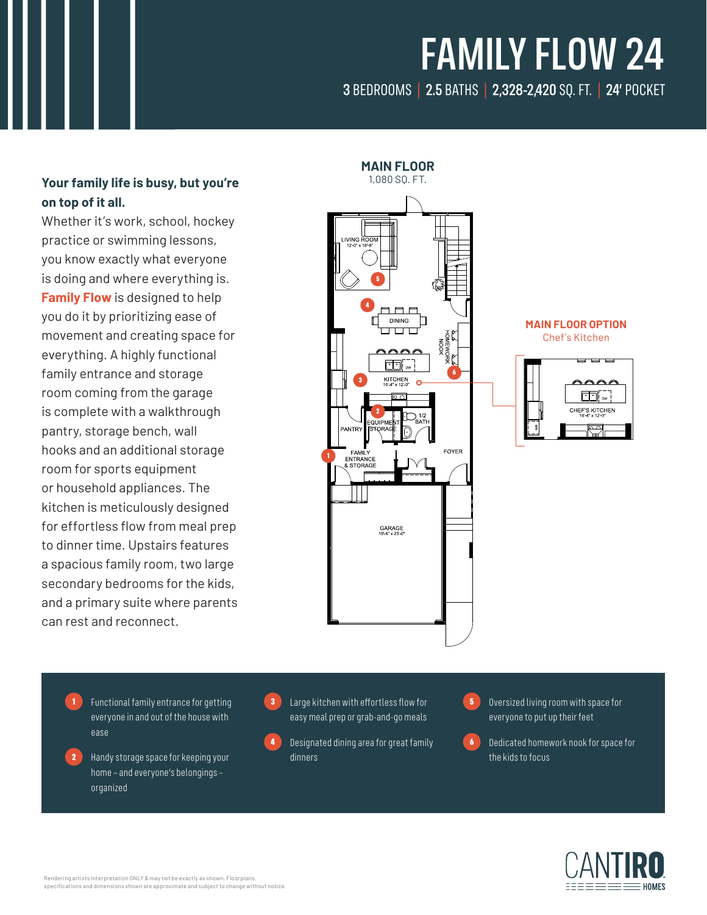# FAMILY FLOW 24

### 3 BEDROOMS | 2.5 BATHS | 2,328-2,420 SQ. FT. | 24' POCKET

### 1,080 SQ. FT. **Your family life is busy, but you're on top of it all.**

Whether it's work, school, hockey practice or swimming lessons, you know exactly what everyone is doing and where everything is. **Family Flow** is designed to help you do it by prioritizing ease of movement and creating space for everything. A highly functional family entrance and storage room coming from the garage is complete with a walkthrough pantry, storage bench, wall hooks and an additional storage room for sports equipment or household appliances. The kitchen is meticulously designed for effortless flow from meal prep to dinner time. Upstairs features a spacious family room, two large secondary bedrooms for the kids, and a primary suite where parents can rest and reconnect.



**MAIN FLOOR OPTION** Chef's Kitchen



1 Functional family entrance for getting everyone in and out of the house with ease

2 Handy storage space for keeping your home – and everyone's belongings – organized

**3** Large kitchen with effortless flow for easy meal prep or grab-and-go meals



**5** Oversized living room with space for everyone to put up their feet

6 Dedicated homework nook for space for the kids to focus